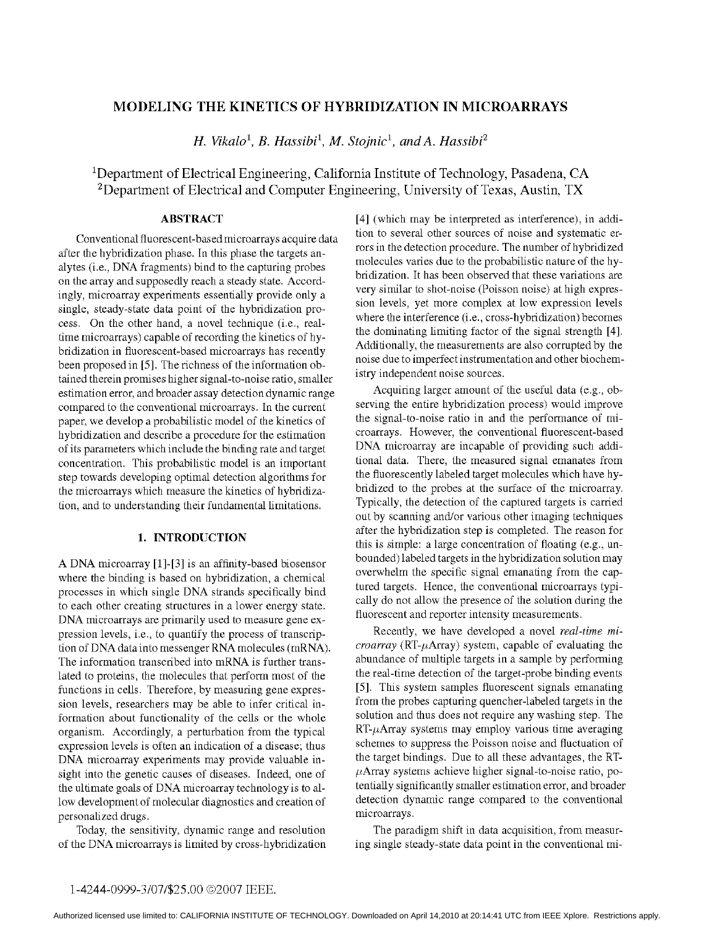# MODELING THE KINETICS OF HYBRIDIZATION IN MICROARRAYS

H. Vikalo<sup>1</sup>, B. Hassibi<sup>1</sup>, M. Stojnic<sup>1</sup>, and A. Hassibi<sup>2</sup>

'Department of Electrical Engineering, California Institute of Technology, Pasadena, CA <sup>2</sup>Department of Electrical and Computer Engineering, University of Texas, Austin, TX

# ABSTRACT

Conventional fluorescent-based microarrays acquire data after the hybridization phase. In this phase the targets analytes (i.e., DNA fragments) bind to the capturing probes on the array and supposedly reach a steady state. Accordingly, microarray experiments essentially provide only a single, steady-state data point of the hybridization process. On the other hand, <sup>a</sup> novel technique (i.e., realtime microarrays) capable of recording the kinetics of hybridization in fluorescent-based microarrays has recently been proposed in [5]. The richness of the information obtained therein promises higher signal-to-noise ratio, smaller estimation error, and broader assay detection dynamic range compared to the conventional microarrays. In the current paper, we develop a probabilistic model of the kinetics of hybridization and describe a procedure for the estimation of its parameters which include the binding rate and target concentration. This probabilistic model is an important step towards developing optimal detection algorithms for the microarrays which measure the kinetics of hybridization, and to understanding their fundamental limitations.

### 1. INTRODUCTION

A DNA microarray [1]-[3] is an affinity-based biosensor where the binding is based on hybridization, a chemical processes in which single DNA strands specifically bind to each other creating structures in a lower energy state. DNA microarrays are primarily used to measure gene expression levels, i.e., to quantify the process of transcription of DNA data into messenger RNA molecules (mRNA). The information transcribed into mRNA is further translated to proteins, the molecules that perform most of the functions in cells. Therefore, by measuring gene expression levels, researchers may be able to infer critical information about functionality of the cells or the whole organism. Accordingly, a perturbation from the typical expression levels is often an indication of a disease; thus DNA microarray experiments may provide valuable insight into the genetic causes of diseases. Indeed, one of the ultimate goals of DNA microarray technology is to allow development of molecular diagnostics and creation of personalized drugs.

Today, the sensitivity, dynamic range and resolution of the DNA microarrays is limited by cross-hybridization

[4] (which may be interpreted as interference), in addition to several other sources of noise and systematic errors in the detection procedure. The number of hybridized molecules varies due to the probabilistic nature of the hybridization. It has been observed that these variations are very similar to shot-noise (Poisson noise) at high expression levels, yet more complex at low expression levels where the interference (i.e., cross-hybridization) becomes the dominating limiting factor of the signal strength [4]. Additionally, the measurements are also corrupted by the noise due to imperfect instrumentation and other biochemistry independent noise sources.

Acquiring larger amount of the useful data (e.g., observing the entire hybridization process) would improve the signal-to-noise ratio in and the performance of microarrays. However, the conventional fluorescent-based DNA microarray are incapable of providing such additional data. There, the measured signal emanates from the fluorescently labeled target molecules which have hybridized to the probes at the surface of the microarray. Typically, the detection of the captured targets is carried out by scanning and/or various other imaging techniques after the hybridization step is completed. The reason for this is simple: a large concentration of floating (e.g., unbounded) labeled targets in the hybridization solution may overwhelm the specific signal emanating from the captured targets. Hence, the conventional microarrays typically do not allow the presence of the solution during the fluorescent and reporter intensity measurements.

Recently, we have developed a novel real-time mi $croarray$  (RT- $\mu$ Array) system, capable of evaluating the abundance of multiple targets in a sample by performing the real-time detection of the target-probe binding events [5]. This system samples fluorescent signals emanating from the probes capturing quencher-labeled targets in the solution and thus does not require any washing step. The  $RT-\mu$ Array systems may employ various time averaging schemes to suppress the Poisson noise and fluctuation of the target bindings. Due to all these advantages, the RT-  $\mu$ Array systems achieve higher signal-to-noise ratio, potentially significantly smaller estimation error, and broader detection dynamic range compared to the conventional microarrays.

The paradigm shift in data acquisition, from measuring single steady-state data point in the conventional mi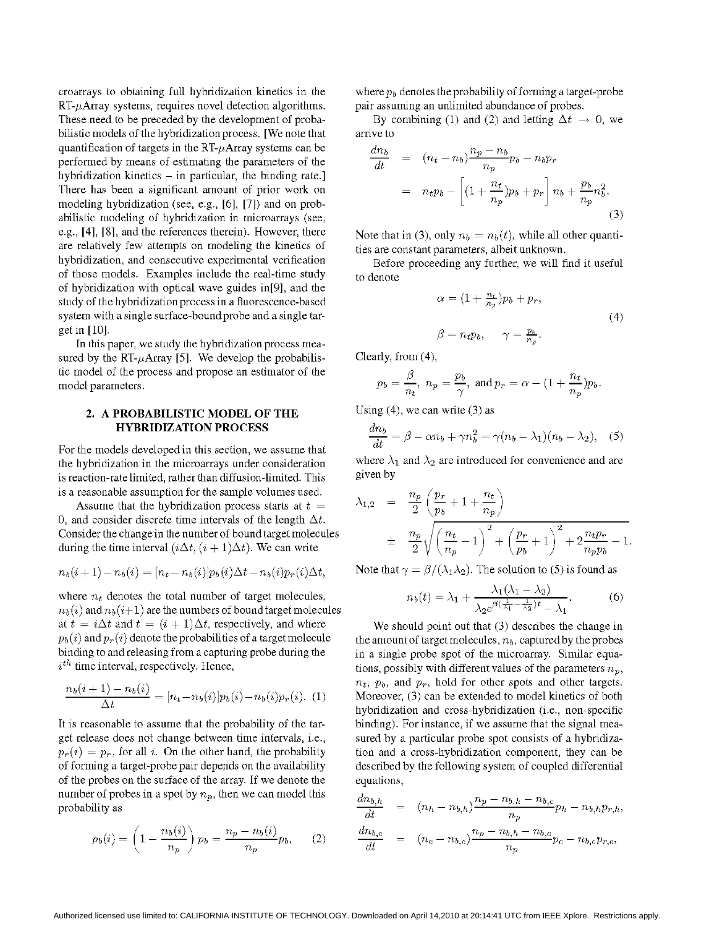croarrays to obtaining full hybridization kinetics in the  $RT-\mu$ Array systems, requires novel detection algorithms. These need to be preceded by the development of probabilistic models of the hybridization process. [We note that quantification of targets in the  $RT-\mu$ Array systems can be performed by means of estimating the parameters of the hybridization kinetics  $-$  in particular, the binding rate.] There has been a significant amount of prior work on modeling hybridization (see, e.g., [6], [7]) and on probabilistic modeling of hybridization in microarrays (see, e.g., [4], [8], and the references therein). However, there are relatively few attempts on modeling the kinetics of hybridization, and consecutive experimental verification of those models. Examples include the real-time study of hybridization with optical wave guides in[9], and the study of the hybridization process in a fluorescence-based system with a single surface-bound probe and a single target in [10].

In this paper, we study the hybridization process measured by the RT- $\mu$ Array [5]. We develop the probabilistic model of the process and propose an estimator of the model parameters.

## 2. A PROBABILISTIC MODEL OF THE HYBRIDIZATION PROCESS

For the models developed in this section, we assume that the hybridization in the microarrays under consideration is reaction-rate limited, rather than diffusion-limited. This is a reasonable assumption for the sample volumes used.

Assume that the hybridization process starts at  $t =$ 0, and consider discrete time intervals of the length  $\Delta t$ . Consider the change in the number of bound target molecules during the time interval  $(i\Delta t, (i+1)\Delta t)$ . We can write

$$
n_b(i + 1) - n_b(i) = [n_t - n_b(i)]p_b(i)\Delta t - n_b(i)p_r(i)\Delta t,
$$

where  $n_t$  denotes the total number of target molecules,  $n_b (i)$  and  $n_b (i+1)$  are the numbers of bound target molecules at  $t = i\Delta t$  and  $t = (i + 1)\Delta t$ , respectively, and where  $p_b(i)$  and  $p_r(i)$  denote the probabilities of a target molecule binding to and releasing from a capturing probe during the  $i<sup>th</sup>$  time interval, respectively. Hence,

$$
\frac{n_b(i+1) - n_b(i)}{\Delta t} = [n_t - n_b(i)] p_b(i) - n_b(i) p_r(i). \tag{1}
$$

It is reasonable to assume that the probability of the target release does not change between time intervals, i.e.,  $p_r(i) = p_r$ , for all i. On the other hand, the probability of forming a target-probe pair depends on the availability of the probes on the surface of the array. If we denote the number of probes in a spot by  $n_p$ , then we can model this probability as

$$
p_b(i) = \left(1 - \frac{n_b(i)}{n_p}\right) p_b = \frac{n_p - n_b(i)}{n_p} p_b, \qquad (2)
$$

where  $p<sub>b</sub>$  denotes the probability of forming a target-probe pair assuming an unlimited abundance of probes.

By combining (1) and (2) and letting  $\Delta t \rightarrow 0$ , we arrive to

$$
\frac{dn_b}{dt} = (n_t - n_b) \frac{n_p - n_b}{n_p} p_b - n_b p_r\n= n_t p_b - \left[ (1 + \frac{n_t}{n_p}) p_b + p_r \right] n_b + \frac{p_b}{n_p} n_b^2.
$$
\n(3)

Note that in (3), only  $n_b = n_b(t)$ , while all other quantities are constant parameters, albeit unknown.

Before proceeding any further, we will find it useful to denote

$$
\alpha = (1 + \frac{n_t}{n_p})p_b + p_r,
$$
  
\n
$$
\beta = n_t p_b, \qquad \gamma = \frac{p_b}{n_p}.
$$
\n(4)

Clearly, from (4),

$$
p_b = \frac{\beta}{n_t}
$$
,  $n_p = \frac{p_b}{\gamma}$ , and  $p_r = \alpha - (1 + \frac{n_t}{n_p})p_b$ .

Using  $(4)$ , we can write  $(3)$  as

$$
\frac{dn_b}{dt} = \beta - \alpha n_b + \gamma n_b^2 = \gamma (n_b - \lambda_1)(n_b - \lambda_2), \quad (5)
$$

where  $\lambda_1$  and  $\lambda_2$  are introduced for convenience and are given by

$$
\lambda_{1,2} = \frac{n_p}{2} \left( \frac{p_r}{p_b} + 1 + \frac{n_t}{n_p} \right) \n\pm \frac{n_p}{2} \sqrt{\left( \frac{n_t}{n_p} - 1 \right)^2 + \left( \frac{p_r}{p_b} + 1 \right)^2 + 2 \frac{n_t p_r}{n_p p_b} - 1}.
$$

Note that  $\gamma = \beta/(\lambda_1 \lambda_2)$ . The solution to (5) is found as

$$
n_b(t) = \lambda_1 + \frac{\lambda_1(\lambda_1 - \lambda_2)}{\lambda_2 e^{\beta(\frac{1}{\lambda_1} - \frac{1}{\lambda_2})t} - \lambda_1}.
$$
 (6)

We should point out that (3) describes the change in the amount of target molecules,  $n_b$ , captured by the probes in a single probe spot of the microarray. Similar equations, possibly with different values of the parameters  $n_p$ ,  $n_t$ ,  $p_b$ , and  $p_r$ , hold for other spots and other targets. Moreover, (3) can be extended to model kinetics of both hybridization and cross-hybridization (i.e., non-specific binding). For instance, if we assume that the signal measured by a particular probe spot consists of a hybridization and a cross-hybridization component, they can be described by the following system of coupled differential equations,

$$
\frac{dn_{b,h}}{dt} = (n_h - n_{b,h}) \frac{n_p - n_{b,h} - n_{b,c}}{n_p} p_h - n_{b,h} p_{r,h},
$$
\n
$$
\frac{dn_{b,c}}{dt} = (n_c - n_{b,c}) \frac{n_p - n_{b,h} - n_{b,c}}{n_p} p_c - n_{b,c} p_{r,c},
$$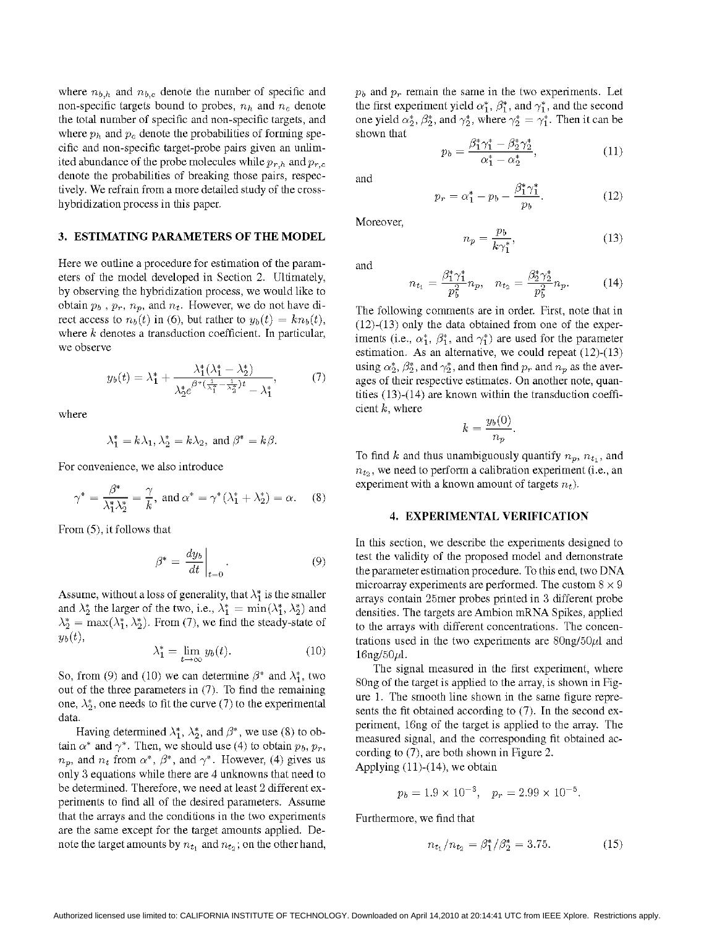where  $n_{b,h}$  and  $n_{b,c}$  denote the number of specific and non-specific targets bound to probes,  $n_h$  and  $n_c$  denote the total number of specific and non-specific targets, and where  $p_h$  and  $p_c$  denote the probabilities of forming specific and non-specific target-probe pairs given an unlimited abundance of the probe molecules while  $p_{r,h}$  and  $p_{r,c}$ denote the probabilities of breaking those pairs, respectively. We refrain from <sup>a</sup> more detailed study of the crosshybridization process in this paper.

#### 3. ESTIMATING PARAMETERS OF THE MODEL

Here we outline a procedure for estimation of the parameters of the model developed in Section 2. Ultimately, by observing the hybridization process, we would like to obtain  $p_b$ ,  $p_r$ ,  $n_p$ , and  $n_t$ . However, we do not have direct access to  $n_b(t)$  in (6), but rather to  $y_b(t) = kn_b(t)$ , where k denotes a transduction coefficient. In particular, we observe

$$
y_b(t) = \lambda_1^* + \frac{\lambda_1^*(\lambda_1^* - \lambda_2^*)}{\lambda_2^* e^{\beta^*(\frac{1}{\lambda_1^*} - \frac{1}{\lambda_2^*})t} - \lambda_1^*},\tag{7}
$$

where

$$
\lambda_1^* = k\lambda_1, \lambda_2^* = k\lambda_2, \text{ and } \beta^* = k\beta.
$$

For convenience, we also introduce

$$
\gamma^* = \frac{\beta^*}{\lambda_1^* \lambda_2^*} = \frac{\gamma}{k}, \text{ and } \alpha^* = \gamma^* (\lambda_1^* + \lambda_2^*) = \alpha. \tag{8}
$$

From (5), it follows that

$$
\beta^* = \left. \frac{dy_b}{dt} \right|_{t=0}.
$$
\n(9)

Assume, without a loss of generality, that  $\lambda_1^*$  is the smaller and  $\lambda_2^*$  the larger of the two, i.e.,  $\lambda_1^* = \min(\lambda_1^*, \lambda_2^*)$  and  $\lambda_2^* = \max(\lambda_1^*, \lambda_2^*)$ . From (7), we find the steady-state of  $y_b(t)$ ,

$$
\lambda_1^* = \lim_{t \to \infty} y_b(t). \tag{10}
$$

So, from (9) and (10) we can determine  $\beta^*$  and  $\lambda_1^*$ , two out of the three parameters in (7). To find the remaining one,  $\lambda_2^*$ , one needs to fit the curve (7) to the experimental data.

Having determined  $\lambda_1^*, \lambda_2^*,$  and  $\beta^*$ , we use (8) to obtain  $\alpha^*$  and  $\gamma^*$ . Then, we should use (4) to obtain  $p_b$ ,  $p_r$ ,  $n_p$ , and  $n_t$  from  $\alpha^*$ ,  $\beta^*$ , and  $\gamma^*$ . However, (4) gives us only 3 equations while there are 4 unknowns that need to be determined. Therefore, we need at least <sup>2</sup> different experiments to find all of the desired parameters. Assume that the arrays and the conditions in the two experiments are the same except for the target amounts applied. Denote the target amounts by  $n_{t_1}$  and  $n_{t_2}$ ; on the other hand,

 $p_b$  and  $p_r$  remain the same in the two experiments. Let the first experiment yield  $\alpha_1^*$ ,  $\beta_1^*$ , and  $\gamma_1^*$ , and the second one yield  $\alpha_2^*, \beta_2^*$ , and  $\gamma_2^*$ , where  $\gamma_2^* = \gamma_1^*$ . Then it can be shown that  $\alpha$   $\alpha$   $\alpha$ 

$$
p_b = \frac{\beta_1^* \gamma_1^* - \beta_2^* \gamma_2^*}{\alpha_1^* - \alpha_2^*},\tag{11}
$$

and

$$
p_r = \alpha_1^* - p_b - \frac{\beta_1^* \gamma_1^*}{p_b}.
$$
 (12)

Moreover,

$$
n_p = \frac{p_b}{k\gamma_1^*},\tag{13}
$$

and

$$
n_{t_1} = \frac{\beta_1^* \gamma_1^*}{p_b^2} n_p, \quad n_{t_2} = \frac{\beta_2^* \gamma_2^*}{p_b^2} n_p. \tag{14}
$$

The following comments are in order. First, note that in  $(12)-(13)$  only the data obtained from one of the experiments (i.e.,  $\alpha_1^*$ ,  $\beta_1^*$ , and  $\gamma_1^*$ ) are used for the parameter estimation. As an alternative, we could repeat (12)-(13) using  $\alpha_2^*, \beta_2^*$ , and  $\gamma_2^*$ , and then find  $p_r$  and  $n_p$  as the averages of their respective estimates. On another note, quantities  $(13)-(14)$  are known within the transduction coefficient  $k$ , where

$$
k=\frac{y_b(0)}{n_p}
$$

To find k and thus unambiguously quantify  $n_p$ ,  $n_{t_1}$ , and  $n_{t_2}$ , we need to perform a calibration experiment (i.e., an experiment with a known amount of targets  $n<sub>t</sub>$ ).

#### 4. EXPERIMENTAL VERIFICATION

In this section, we describe the experiments designed to test the validity of the proposed model and demonstrate the parameter estimation procedure. To this end, two DNA microarray experiments are performed. The custom  $8 \times 9$ arrays contain 25mer probes printed in 3 different probe densities. The targets are Ambion mRNA Spikes, applied to the arrays with different concentrations. The concentrations used in the two experiments are  $80$ ng/50 $\mu$ l and  $16$ ng/ $50 \mu$ l.

The signal measured in the first experiment, where 80ng of the target is applied to the array, is shown in Figure 1. The smooth line shown in the same figure represents the fit obtained according to (7). In the second experiment, 16ng of the target is applied to the array. The measured signal, and the corresponding fit obtained according to (7), are both shown in Figure 2. Applying  $(11)-(14)$ , we obtain

$$
p_b = 1.9 \times 10^{-3}, \quad p_r = 2.99 \times 10^{-5}.
$$

Furthermore, we find that

$$
n_{t_1}/n_{t_2} = \beta_1^*/\beta_2^* = 3.75. \tag{15}
$$